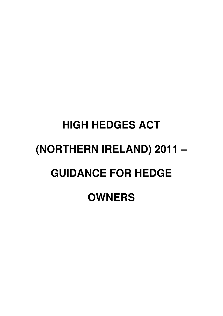# **HIGH HEDGES ACT (NORTHERN IRELAND) 2011 – GUIDANCE FOR HEDGE OWNERS**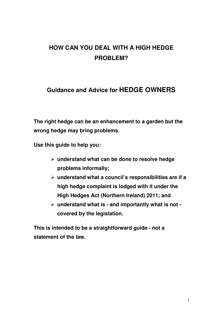# **HOW CAN YOU DEAL WITH A HIGH HEDGE PROBLEM?**

# **Guidance and Advice for HEDGE OWNERS**

**The right hedge can be an enhancement to a garden but the wrong hedge may bring problems.** 

**Use this guide to help you:** 

- **understand what can be done to resolve hedge problems informally;**
- **understand what a council's responsibilities are if a high hedge complaint is lodged with it under the High Hedges Act (Northern Ireland) 2011; and**
- **understand what is and importantly what is not covered by the legislation.**

**This is intended to be a straightforward guide - not a statement of the law.**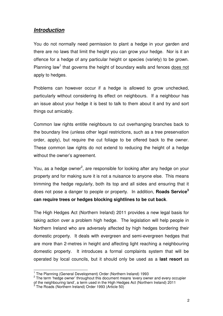## **Introduction**

You do not normally need permission to plant a hedge in your garden and there are no laws that limit the height you can grow your hedge. Nor is it an offence for a hedge of any particular height or species (variety) to be grown. Planning law<sup>1</sup> that governs the height of boundary walls and fences does not apply to hedges.

Problems can however occur if a hedge is allowed to grow unchecked, particularly without considering its effect on neighbours. If a neighbour has an issue about your hedge it is best to talk to them about it and try and sort things out amicably.

Common law rights entitle neighbours to cut overhanging branches back to the boundary line (unless other legal restrictions, such as a tree preservation order, apply), but require the cut foliage to be offered back to the owner. These common law rights do not extend to reducing the height of a hedge without the owner's agreement.

You, as a hedge owner<sup>2</sup>, are responsible for looking after any hedge on your property and for making sure it is not a nuisance to anyone else. This means trimming the hedge regularly, both its top and all sides and ensuring that it does not pose a danger to people or property. In addition, **Roads Service<sup>3</sup> can require trees or hedges blocking sightlines to be cut back**.

The High Hedges Act (Northern Ireland) 2011 provides a new legal basis for taking action over a problem high hedge. The legislation will help people in Northern Ireland who are adversely affected by high hedges bordering their domestic property. It deals with evergreen and semi-evergreen hedges that are more than 2-metres in height and affecting light reaching a neighbouring domestic property. It introduces a formal complaints system that will be operated by local councils, but it should only be used as a **last resort** as

 1 The Planning (General Development) Order (Northern Ireland) 1993

<sup>&</sup>lt;sup>2</sup> The term 'hedge owner' throughout this document means 'every owner and every occupier of the neighbouring land', a term used in the High Hedges Act (Northern Ireland) 2011<br><sup>3</sup> The Roads (Northern Ireland) Order 1993 (Article 50)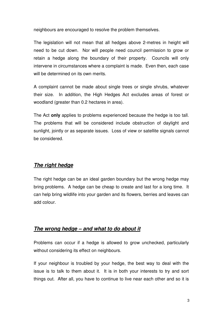neighbours are encouraged to resolve the problem themselves.

The legislation will not mean that all hedges above 2-metres in height will need to be cut down. Nor will people need council permission to grow or retain a hedge along the boundary of their property. Councils will only intervene in circumstances where a complaint is made. Even then, each case will be determined on its own merits.

A complaint cannot be made about single trees or single shrubs, whatever their size. In addition, the High Hedges Act excludes areas of forest or woodland (greater than 0.2 hectares in area).

The Act **only** applies to problems experienced because the hedge is too tall. The problems that will be considered include obstruction of daylight and sunlight, jointly or as separate issues. Loss of view or satellite signals cannot be considered.

## **The right hedge**

The right hedge can be an ideal garden boundary but the wrong hedge may bring problems. A hedge can be cheap to create and last for a long time. It can help bring wildlife into your garden and its flowers, berries and leaves can add colour.

## **The wrong hedge – and what to do about it**

Problems can occur if a hedge is allowed to grow unchecked, particularly without considering its effect on neighbours.

If your neighbour is troubled by your hedge, the best way to deal with the issue is to talk to them about it. It is in both your interests to try and sort things out. After all, you have to continue to live near each other and so it is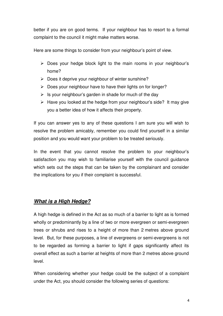better if you are on good terms. If your neighbour has to resort to a formal complaint to the council it might make matters worse.

Here are some things to consider from your neighbour's point of view.

- $\triangleright$  Does your hedge block light to the main rooms in your neighbour's home?
- $\triangleright$  Does it deprive your neighbour of winter sunshine?
- $\triangleright$  Does your neighbour have to have their lights on for longer?
- $\triangleright$  Is your neighbour's garden in shade for much of the day
- $\triangleright$  Have you looked at the hedge from your neighbour's side? It may give you a better idea of how it affects their property.

If you can answer yes to any of these questions I am sure you will wish to resolve the problem amicably, remember you could find yourself in a similar position and you would want your problem to be treated seriously.

In the event that you cannot resolve the problem to your neighbour's satisfaction you may wish to familiarise yourself with the council guidance which sets out the steps that can be taken by the complainant and consider the implications for you if their complaint is successful.

## **What is a High Hedge?**

A high hedge is defined in the Act as so much of a barrier to light as is formed wholly or predominantly by a line of two or more evergreen or semi-evergreen trees or shrubs and rises to a height of more than 2 metres above ground level. But, for these purposes, a line of evergreens or semi-evergreens is not to be regarded as forming a barrier to light if gaps significantly affect its overall effect as such a barrier at heights of more than 2 metres above ground level.

When considering whether your hedge could be the subject of a complaint under the Act, you should consider the following series of questions: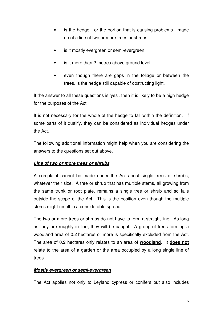- is the hedge or the portion that is causing problems made up of a line of two or more trees or shrubs;
- is it mostly evergreen or semi-evergreen;
- is it more than 2 metres above ground level;
- even though there are gaps in the foliage or between the trees, is the hedge still capable of obstructing light.

If the answer to all these questions is 'yes', then it is likely to be a high hedge for the purposes of the Act.

It is not necessary for the whole of the hedge to fall within the definition. If some parts of it qualify, they can be considered as individual hedges under the Act.

The following additional information might help when you are considering the answers to the questions set out above.

## **Line of two or more trees or shrubs**

A complaint cannot be made under the Act about single trees or shrubs, whatever their size. A tree or shrub that has multiple stems, all growing from the same trunk or root plate, remains a single tree or shrub and so falls outside the scope of the Act. This is the position even though the multiple stems might result in a considerable spread.

The two or more trees or shrubs do not have to form a straight line. As long as they are roughly in line, they will be caught. A group of trees forming a woodland area of 0.2 hectares or more is specifically excluded from the Act. The area of 0.2 hectares only relates to an area of **woodland**. It **does not** relate to the area of a garden or the area occupied by a long single line of trees.

## **Mostly evergreen or semi-evergreen**

The Act applies not only to Leyland cypress or conifers but also includes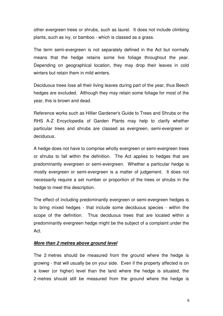other evergreen trees or shrubs, such as laurel. It does not include climbing plants, such as ivy, or bamboo - which is classed as a grass.

The term semi-evergreen is not separately defined in the Act but normally means that the hedge retains some live foliage throughout the year. Depending on geographical location, they may drop their leaves in cold winters but retain them in mild winters.

Deciduous trees lose all their living leaves during part of the year, thus Beech hedges are excluded. Although they may retain some foliage for most of the year, this is brown and dead.

Reference works such as Hillier Gardener's Guide to Trees and Shrubs or the RHS A-Z Encyclopedia of Garden Plants may help to clarify whether particular trees and shrubs are classed as evergreen, semi-evergreen or deciduous.

A hedge does not have to comprise wholly evergreen or semi-evergreen trees or shrubs to fall within the definition. The Act applies to hedges that are predominantly evergreen or semi-evergreen. Whether a particular hedge is mostly evergreen or semi-evergreen is a matter of judgement. It does not necessarily require a set number or proportion of the trees or shrubs in the hedge to meet this description.

The effect of including predominantly evergreen or semi-evergreen hedges is to bring mixed hedges - that include some deciduous species - within the scope of the definition. Thus deciduous trees that are located within a predominantly evergreen hedge might be the subject of a complaint under the Act.

#### **More than 2 metres above ground level**

The 2 metres should be measured from the ground where the hedge is growing - that will usually be on your side. Even if the property affected is on a lower (or higher) level than the land where the hedge is situated, the 2 metres should still be measured from the ground where the hedge is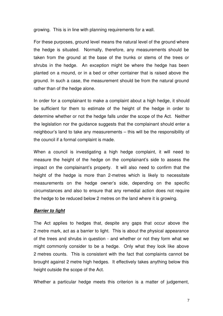growing. This is in line with planning requirements for a wall.

For these purposes, ground level means the natural level of the ground where the hedge is situated. Normally, therefore, any measurements should be taken from the ground at the base of the trunks or stems of the trees or shrubs in the hedge. An exception might be where the hedge has been planted on a mound, or in a bed or other container that is raised above the ground. In such a case, the measurement should be from the natural ground rather than of the hedge alone.

In order for a complainant to make a complaint about a high hedge, it should be sufficient for them to estimate of the height of the hedge in order to determine whether or not the hedge falls under the scope of the Act. Neither the legislation nor the guidance suggests that the complainant should enter a neighbour's land to take any measurements – this will be the responsibility of the council if a formal complaint is made.

When a council is investigating a high hedge complaint, it will need to measure the height of the hedge on the complainant's side to assess the impact on the complainant's property. It will also need to confirm that the height of the hedge is more than 2-metres which is likely to necessitate measurements on the hedge owner's side, depending on the specific circumstances and also to ensure that any remedial action does not require the hedge to be reduced below 2 metres on the land where it is growing.

#### **Barrier to light**

The Act applies to hedges that, despite any gaps that occur above the 2 metre mark, act as a barrier to light. This is about the physical appearance of the trees and shrubs in question - and whether or not they form what we might commonly consider to be a hedge. Only what they look like above 2 metres counts. This is consistent with the fact that complaints cannot be brought against 2 metre high hedges. It effectively takes anything below this height outside the scope of the Act.

Whether a particular hedge meets this criterion is a matter of judgement,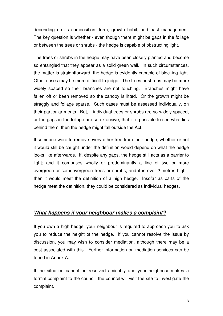depending on its composition, form, growth habit, and past management. The key question is whether - even though there might be gaps in the foliage or between the trees or shrubs - the hedge is capable of obstructing light.

The trees or shrubs in the hedge may have been closely planted and become so entangled that they appear as a solid green wall. In such circumstances, the matter is straightforward: the hedge is evidently capable of blocking light. Other cases may be more difficult to judge. The trees or shrubs may be more widely spaced so their branches are not touching. Branches might have fallen off or been removed so the canopy is lifted. Or the growth might be straggly and foliage sparse. Such cases must be assessed individually, on their particular merits. But, if individual trees or shrubs are so widely spaced, or the gaps in the foliage are so extensive, that it is possible to see what lies behind them, then the hedge might fall outside the Act.

If someone were to remove every other tree from their hedge, whether or not it would still be caught under the definition would depend on what the hedge looks like afterwards. If, despite any gaps, the hedge still acts as a barrier to light; and it comprises wholly or predominantly a line of two or more evergreen or semi-evergreen trees or shrubs; and it is over 2 metres high then it would meet the definition of a high hedge. Insofar as parts of the hedge meet the definition, they could be considered as individual hedges.

## **What happens if your neighbour makes a complaint?**

If you own a high hedge, your neighbour is required to approach you to ask you to reduce the height of the hedge. If you cannot resolve the issue by discussion, you may wish to consider mediation, although there may be a cost associated with this. Further information on mediation services can be found in Annex A.

If the situation cannot be resolved amicably and your neighbour makes a formal complaint to the council, the council will visit the site to investigate the complaint.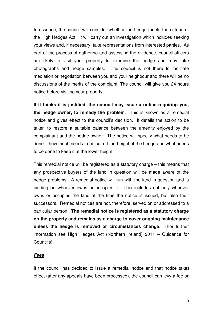In essence, the council will consider whether the hedge meets the criteria of the High Hedges Act. It will carry out an investigation which includes seeking your views and, if necessary, take representations from interested parties. As part of the process of gathering and assessing the evidence, council officers are likely to visit your property to examine the hedge and may take photographs and hedge samples. The council is not there to facilitate mediation or negotiation between you and your neighbour and there will be no discussions of the merits of the complaint. The council will give you 24 hours notice before visiting your property.

**If it thinks it is justified, the council may issue a notice requiring you, the hedge owner, to remedy the problem**. This is known as a remedial notice and gives effect to the council's decision. It details the action to be taken to restore a suitable balance between the amenity enjoyed by the complainant and the hedge owner. The notice will specify what needs to be done – how much needs to be cut off the height of the hedge and what needs to be done to keep it at the lower height.

This remedial notice will be registered as a statutory charge – this means that any prospective buyers of the land in question will be made aware of the hedge problems. A remedial notice will run with the land in question and is binding on whoever owns or occupies it. This includes not only whoever owns or occupies the land at the time the notice is issued, but also their successors. Remedial notices are not, therefore, served on or addressed to a particular person. **The remedial notice is registered as a statutory charge on the property and remains as a charge to cover ongoing maintenance unless the hedge is removed or circumstances change**. (For further information see High Hedges Act (Northern Ireland) 2011 – Guidance for Councils).

#### **Fees**

If the council has decided to issue a remedial notice and that notice takes effect (after any appeals have been processed), the council can levy a fee on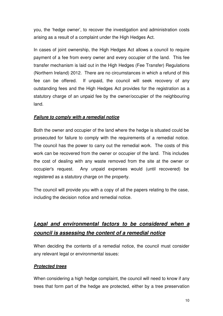you, the 'hedge owner', to recover the investigation and administration costs arising as a result of a complaint under the High Hedges Act.

In cases of joint ownership, the High Hedges Act allows a council to require payment of a fee from every owner and every occupier of the land. This fee transfer mechanism is laid out in the High Hedges (Fee Transfer) Regulations (Northern Ireland) 2012. There are no circumstances in which a refund of this fee can be offered. If unpaid, the council will seek recovery of any outstanding fees and the High Hedges Act provides for the registration as a statutory charge of an unpaid fee by the owner/occupier of the neighbouring land.

## **Failure to comply with a remedial notice**

Both the owner and occupier of the land where the hedge is situated could be prosecuted for failure to comply with the requirements of a remedial notice. The council has the power to carry out the remedial work. The costs of this work can be recovered from the owner or occupier of the land. This includes the cost of dealing with any waste removed from the site at the owner or occupier's request. Any unpaid expenses would (until recovered) be registered as a statutory charge on the property.

The council will provide you with a copy of all the papers relating to the case, including the decision notice and remedial notice.

# **Legal and environmental factors to be considered when a council is assessing the content of a remedial notice**

When deciding the contents of a remedial notice, the council must consider any relevant legal or environmental issues:

## **Protected trees**

When considering a high hedge complaint, the council will need to know if any trees that form part of the hedge are protected, either by a tree preservation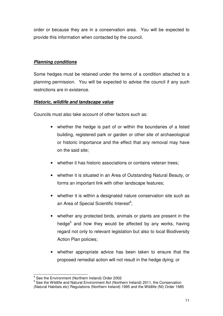order or because they are in a conservation area. You will be expected to provide this information when contacted by the council.

## **Planning conditions**

Some hedges must be retained under the terms of a condition attached to a planning permission. You will be expected to advise the council if any such restrictions are in existence.

## **Historic, wildlife and landscape value**

Councils must also take account of other factors such as:

- whether the hedge is part of or within the boundaries of a listed building, registered park or garden or other site of archaeological or historic importance and the effect that any removal may have on the said site;
- whether it has historic associations or contains veteran trees:
- whether it is situated in an Area of Outstanding Natural Beauty, or forms an important link with other landscape features;
- whether it is within a designated nature conservation site such as an Area of Special Scientific Interest<sup>4</sup>;
- whether any protected birds, animals or plants are present in the hedge<sup>5</sup> and how they would be affected by any works, having regard not only to relevant legislation but also to local Biodiversity Action Plan policies;
- whether appropriate advice has been taken to ensure that the proposed remedial action will not result in the hedge dying; or

 4 See the Environment (Northern Ireland) Order 2002

<sup>&</sup>lt;sup>5</sup> See the Wildlife and Natural Environment Act (Northern Ireland) 2011, the Conservation (Natural Habitats etc) Regulations (Northern Ireland) 1995 and the Wildlife (NI) Order 1985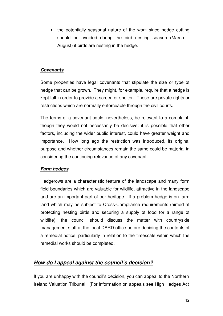• the potentially seasonal nature of the work since hedge cutting should be avoided during the bird nesting season (March – August) if birds are nesting in the hedge.

## **Covenants**

Some properties have legal covenants that stipulate the size or type of hedge that can be grown. They might, for example, require that a hedge is kept tall in order to provide a screen or shelter. These are private rights or restrictions which are normally enforceable through the civil courts.

The terms of a covenant could, nevertheless, be relevant to a complaint, though they would not necessarily be decisive: it is possible that other factors, including the wider public interest, could have greater weight and importance. How long ago the restriction was introduced, its original purpose and whether circumstances remain the same could be material in considering the continuing relevance of any covenant.

## **Farm hedges**

Hedgerows are a characteristic feature of the landscape and many form field boundaries which are valuable for wildlife, attractive in the landscape and are an important part of our heritage. If a problem hedge is on farm land which may be subject to Cross-Compliance requirements (aimed at protecting nesting birds and securing a supply of food for a range of wildlife), the council should discuss the matter with countryside management staff at the local DARD office before deciding the contents of a remedial notice, particularly in relation to the timescale within which the remedial works should be completed.

## **How do I appeal against the council's decision?**

If you are unhappy with the council's decision, you can appeal to the Northern Ireland Valuation Tribunal. (For information on appeals see High Hedges Act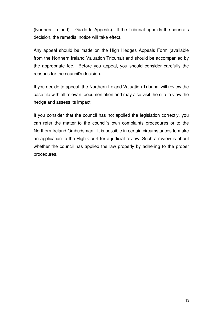(Northern Ireland) – Guide to Appeals). If the Tribunal upholds the council's decision, the remedial notice will take effect.

Any appeal should be made on the High Hedges Appeals Form (available from the Northern Ireland Valuation Tribunal) and should be accompanied by the appropriate fee. Before you appeal, you should consider carefully the reasons for the council's decision.

If you decide to appeal, the Northern Ireland Valuation Tribunal will review the case file with all relevant documentation and may also visit the site to view the hedge and assess its impact.

If you consider that the council has not applied the legislation correctly, you can refer the matter to the council's own complaints procedures or to the Northern Ireland Ombudsman. It is possible in certain circumstances to make an application to the High Court for a judicial review. Such a review is about whether the council has applied the law properly by adhering to the proper procedures.